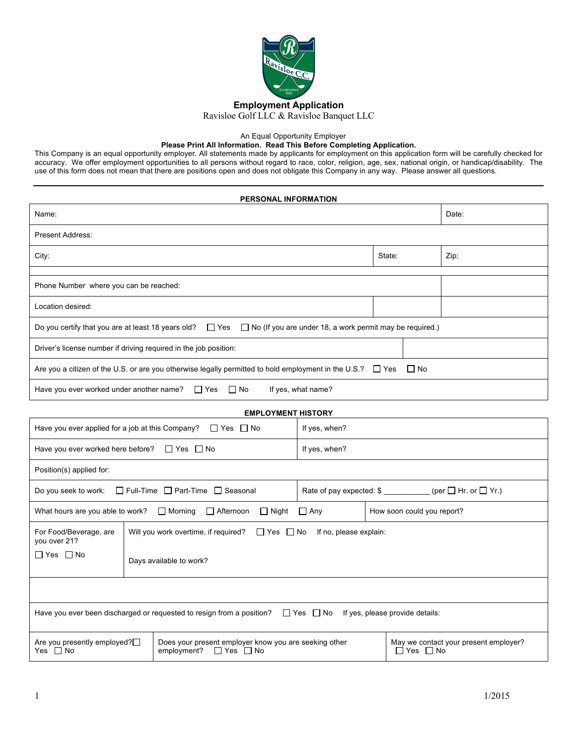

An Equal Opportunity Employer

### **Please Print All Information. Read This Before Completing Application.**

This Company is an equal opportunity employer. All statements made by applicants for employment on this application form will be carefully checked for accuracy. We offer employment opportunities to all persons without regard to race, color, religion, age, sex, national origin, or handicap/disability. The use of this form does not mean that there are positions open and does not obligate this Company in any way. Please answer all questions.

| PERSONAL INFORMATION                                                                                                                        |                                                                                        |                         |                    |        |                      |                                       |
|---------------------------------------------------------------------------------------------------------------------------------------------|----------------------------------------------------------------------------------------|-------------------------|--------------------|--------|----------------------|---------------------------------------|
| Name:                                                                                                                                       |                                                                                        |                         |                    |        | Date:                |                                       |
| <b>Present Address:</b>                                                                                                                     |                                                                                        |                         |                    |        |                      |                                       |
| City:                                                                                                                                       |                                                                                        |                         |                    | State: |                      | Zip:                                  |
|                                                                                                                                             |                                                                                        |                         |                    |        |                      |                                       |
| Phone Number where you can be reached:                                                                                                      |                                                                                        |                         |                    |        |                      |                                       |
| Location desired:                                                                                                                           |                                                                                        |                         |                    |        |                      |                                       |
| Do you certify that you are at least 18 years old?<br>$\Box$ Yes<br>$\Box$ No (If you are under 18, a work permit may be required.)         |                                                                                        |                         |                    |        |                      |                                       |
| Driver's license number if driving required in the job position:                                                                            |                                                                                        |                         |                    |        |                      |                                       |
| Are you a citizen of the U.S. or are you otherwise legally permitted to hold employment in the U.S.? $\Box$ Yes<br>$\Box$ No                |                                                                                        |                         |                    |        |                      |                                       |
| Have you ever worked under another name?                                                                                                    |                                                                                        | $\Box$ No<br>$\Box$ Yes | If yes, what name? |        |                      |                                       |
| <b>EMPLOYMENT HISTORY</b>                                                                                                                   |                                                                                        |                         |                    |        |                      |                                       |
| Have you ever applied for a job at this Company? $\Box$ Yes $\Box$ No<br>If yes, when?                                                      |                                                                                        |                         |                    |        |                      |                                       |
| Have you ever worked here before? $\Box$ Yes $\Box$ No                                                                                      |                                                                                        |                         | If yes, when?      |        |                      |                                       |
| Position(s) applied for:                                                                                                                    |                                                                                        |                         |                    |        |                      |                                       |
| □ Full-Time □ Part-Time □ Seasonal<br>Rate of pay expected: \$ __________ (per □ Hr. or □ Yr.)<br>Do you seek to work:                      |                                                                                        |                         |                    |        |                      |                                       |
| $\Box$ Night<br>What hours are you able to work?<br>$\Box$ Morning<br>$\Box$ Afternoon<br>$\Box$ Any<br>How soon could you report?          |                                                                                        |                         |                    |        |                      |                                       |
| For Food/Beverage, are<br>you over 21?                                                                                                      | Will you work overtime, if required?<br>$\Box$ Yes $\Box$ No<br>If no, please explain: |                         |                    |        |                      |                                       |
| $\Box$ Yes $\Box$ No                                                                                                                        | Days available to work?                                                                |                         |                    |        |                      |                                       |
|                                                                                                                                             |                                                                                        |                         |                    |        |                      |                                       |
| Have you ever been discharged or requested to resign from a position?<br>$\Box$ Yes $\Box$ No<br>If yes, please provide details:            |                                                                                        |                         |                    |        |                      |                                       |
| Does your present employer know you are seeking other<br>Are you presently employed? $\Box$<br>employment? $\Box$ Yes $\Box$ No<br>Yes □ No |                                                                                        |                         |                    |        | $\Box$ Yes $\Box$ No | May we contact your present employer? |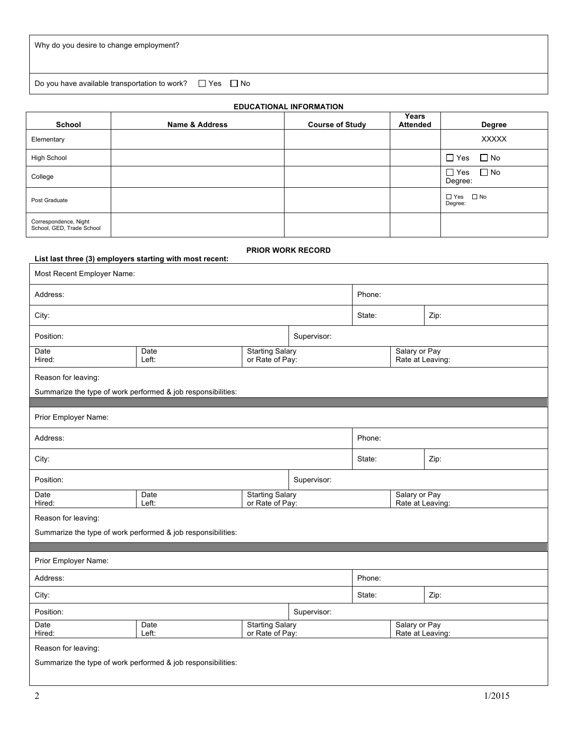Do you have available transportation to work?  $\Box$  Yes  $\Box$  No

| <b>EDUCATIONAL INFORMATION</b>                                                |                                                            |                                                              |                                           |                        |                                   |                                   |                       |               |  |
|-------------------------------------------------------------------------------|------------------------------------------------------------|--------------------------------------------------------------|-------------------------------------------|------------------------|-----------------------------------|-----------------------------------|-----------------------|---------------|--|
| School                                                                        |                                                            | Name & Address                                               |                                           | <b>Course of Study</b> |                                   | Years<br><b>Attended</b>          |                       | <b>Degree</b> |  |
| Elementary                                                                    |                                                            |                                                              |                                           |                        |                                   |                                   |                       | <b>XXXXX</b>  |  |
| <b>High School</b>                                                            |                                                            |                                                              |                                           |                        |                                   |                                   | $\Box$ Yes            | $\Box$ No     |  |
| College                                                                       |                                                            |                                                              |                                           |                        |                                   |                                   | $\Box$ Yes<br>Degree: | $\Box$ No     |  |
| Post Graduate                                                                 |                                                            |                                                              |                                           |                        |                                   |                                   | Degree:               | □ Yes □ No    |  |
| Correspondence, Night<br>School, GED, Trade School                            |                                                            |                                                              |                                           |                        |                                   |                                   |                       |               |  |
| PRIOR WORK RECORD<br>List last three (3) employers starting with most recent: |                                                            |                                                              |                                           |                        |                                   |                                   |                       |               |  |
| Most Recent Employer Name:                                                    |                                                            |                                                              |                                           |                        |                                   |                                   |                       |               |  |
| Address:                                                                      |                                                            |                                                              |                                           |                        | Phone:                            |                                   |                       |               |  |
| City:                                                                         |                                                            |                                                              |                                           |                        | State:                            |                                   |                       | Zip:          |  |
| Position:                                                                     |                                                            |                                                              |                                           | Supervisor:            |                                   |                                   |                       |               |  |
| Date<br>Hired:                                                                | <b>Starting Salary</b><br>Date<br>or Rate of Pay:<br>Left: |                                                              |                                           |                        | Salary or Pay<br>Rate at Leaving: |                                   |                       |               |  |
| Reason for leaving:                                                           |                                                            |                                                              |                                           |                        |                                   |                                   |                       |               |  |
|                                                                               |                                                            | Summarize the type of work performed & job responsibilities: |                                           |                        |                                   |                                   |                       |               |  |
| Prior Employer Name:                                                          |                                                            |                                                              |                                           |                        |                                   |                                   |                       |               |  |
| Address:                                                                      |                                                            |                                                              |                                           |                        | Phone:                            |                                   |                       |               |  |
| City:                                                                         |                                                            |                                                              |                                           |                        | State:                            |                                   | Zip:                  |               |  |
| Position:                                                                     |                                                            |                                                              |                                           | Supervisor:            |                                   |                                   |                       |               |  |
| Date<br>Hired:                                                                | <b>Starting Salary</b><br>Date<br>or Rate of Pay:<br>Left: |                                                              |                                           |                        | Salary or Pay<br>Rate at Leaving: |                                   |                       |               |  |
| Reason for leaving:                                                           |                                                            |                                                              |                                           |                        |                                   |                                   |                       |               |  |
| Summarize the type of work performed & job responsibilities:                  |                                                            |                                                              |                                           |                        |                                   |                                   |                       |               |  |
| Prior Employer Name:                                                          |                                                            |                                                              |                                           |                        |                                   |                                   |                       |               |  |
| Address:                                                                      |                                                            |                                                              |                                           |                        | Phone:                            |                                   |                       |               |  |
| City:                                                                         |                                                            |                                                              |                                           |                        | State:                            |                                   | Zip:                  |               |  |
| Position:                                                                     |                                                            |                                                              |                                           | Supervisor:            |                                   |                                   |                       |               |  |
| Date<br>Hired:                                                                |                                                            | Date<br>Left:                                                | <b>Starting Salary</b><br>or Rate of Pay: |                        |                                   | Salary or Pay<br>Rate at Leaving: |                       |               |  |
| Reason for leaving:                                                           |                                                            |                                                              |                                           |                        |                                   |                                   |                       |               |  |
| Summarize the type of work performed & job responsibilities:                  |                                                            |                                                              |                                           |                        |                                   |                                   |                       |               |  |
|                                                                               |                                                            |                                                              |                                           |                        |                                   |                                   |                       |               |  |